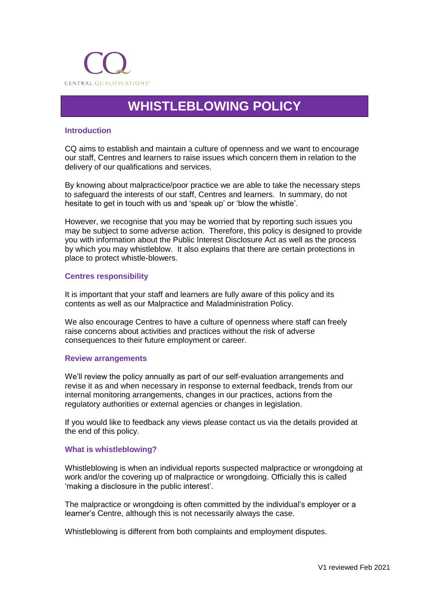

# **WHISTLEBLOWING POLICY**

# **Introduction**

CQ aims to establish and maintain a culture of openness and we want to encourage our staff, Centres and learners to raise issues which concern them in relation to the delivery of our qualifications and services.

By knowing about malpractice/poor practice we are able to take the necessary steps to safeguard the interests of our staff, Centres and learners. In summary, do not hesitate to get in touch with us and 'speak up' or 'blow the whistle'.

However, we recognise that you may be worried that by reporting such issues you may be subject to some adverse action. Therefore, this policy is designed to provide you with information about the Public Interest Disclosure Act as well as the process by which you may whistleblow. It also explains that there are certain protections in place to protect whistle-blowers.

## **Centres responsibility**

It is important that your staff and learners are fully aware of this policy and its contents as well as our Malpractice and Maladministration Policy.

We also encourage Centres to have a culture of openness where staff can freely raise concerns about activities and practices without the risk of adverse consequences to their future employment or career.

### **Review arrangements**

We'll review the policy annually as part of our self-evaluation arrangements and revise it as and when necessary in response to external feedback, trends from our internal monitoring arrangements, changes in our practices, actions from the regulatory authorities or external agencies or changes in legislation.

If you would like to feedback any views please contact us via the details provided at the end of this policy.

### **What is whistleblowing?**

Whistleblowing is when an individual reports suspected malpractice or wrongdoing at work and/or the covering up of malpractice or wrongdoing. Officially this is called 'making a disclosure in the public interest'.

The malpractice or wrongdoing is often committed by the individual's employer or a learner's Centre, although this is not necessarily always the case.

Whistleblowing is different from both complaints and employment disputes.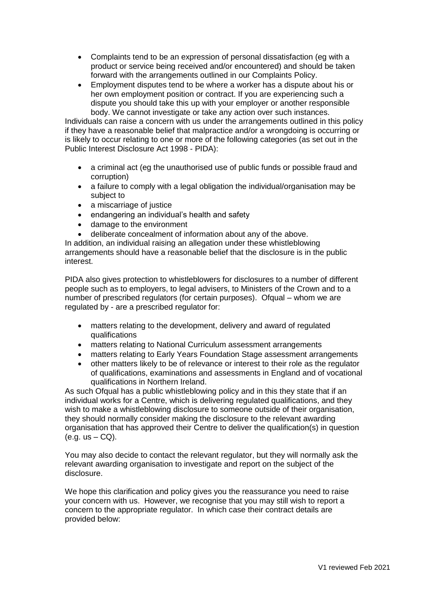- Complaints tend to be an expression of personal dissatisfaction (eg with a product or service being received and/or encountered) and should be taken forward with the arrangements outlined in our Complaints Policy.
- Employment disputes tend to be where a worker has a dispute about his or her own employment position or contract. If you are experiencing such a dispute you should take this up with your employer or another responsible body. We cannot investigate or take any action over such instances.

Individuals can raise a concern with us under the arrangements outlined in this policy if they have a reasonable belief that malpractice and/or a wrongdoing is occurring or is likely to occur relating to one or more of the following categories (as set out in the Public Interest Disclosure Act 1998 - PIDA):

- a criminal act (eg the unauthorised use of public funds or possible fraud and corruption)
- a failure to comply with a legal obligation the individual/organisation may be subject to
- a miscarriage of justice<br>• endangering an individu
- endangering an individual's health and safety
- damage to the environment
- deliberate concealment of information about any of the above.

In addition, an individual raising an allegation under these whistleblowing arrangements should have a reasonable belief that the disclosure is in the public interest.

PIDA also gives protection to whistleblowers for disclosures to a number of different people such as to employers, to legal advisers, to Ministers of the Crown and to a number of prescribed regulators (for certain purposes). Ofqual – whom we are regulated by - are a prescribed regulator for:

- matters relating to the development, delivery and award of regulated qualifications
- matters relating to National Curriculum assessment arrangements
- matters relating to Early Years Foundation Stage assessment arrangements
- other matters likely to be of relevance or interest to their role as the regulator of qualifications, examinations and assessments in England and of vocational qualifications in Northern Ireland.

As such Ofqual has a public whistleblowing policy and in this they state that if an individual works for a Centre, which is delivering regulated qualifications, and they wish to make a whistleblowing disclosure to someone outside of their organisation, they should normally consider making the disclosure to the relevant awarding organisation that has approved their Centre to deliver the qualification(s) in question  $(e.g. us - CQ)$ .

You may also decide to contact the relevant regulator, but they will normally ask the relevant awarding organisation to investigate and report on the subject of the disclosure.

We hope this clarification and policy gives you the reassurance you need to raise your concern with us. However, we recognise that you may still wish to report a concern to the appropriate regulator. In which case their contract details are provided below: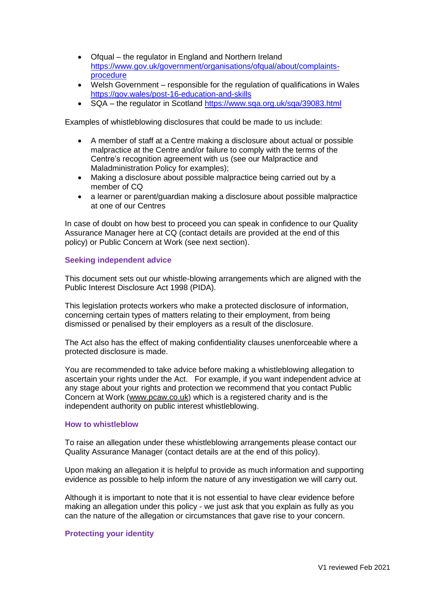- Ofqual the regulator in England and Northern Ireland [https://www.gov.uk/government/organisations/ofqual/about/complaints](https://www.gov.uk/government/organisations/ofqual/about/complaints-procedure)[procedure](https://www.gov.uk/government/organisations/ofqual/about/complaints-procedure)
- Welsh Government responsible for the regulation of qualifications in Wales <https://gov.wales/post-16-education-and-skills>
- SQA the regulator in Scotland<https://www.sqa.org.uk/sqa/39083.html>

Examples of whistleblowing disclosures that could be made to us include:

- A member of staff at a Centre making a disclosure about actual or possible malpractice at the Centre and/or failure to comply with the terms of the Centre's recognition agreement with us (see our Malpractice and Maladministration Policy for examples);
- Making a disclosure about possible malpractice being carried out by a member of CQ
- a learner or parent/guardian making a disclosure about possible malpractice at one of our Centres

In case of doubt on how best to proceed you can speak in confidence to our Quality Assurance Manager here at CQ (contact details are provided at the end of this policy) or Public Concern at Work (see next section).

## **Seeking independent advice**

This document sets out our whistle-blowing arrangements which are aligned with the Public Interest Disclosure Act 1998 (PIDA).

This legislation protects workers who make a protected disclosure of information, concerning certain types of matters relating to their employment, from being dismissed or penalised by their employers as a result of the disclosure.

The Act also has the effect of making confidentiality clauses unenforceable where a protected disclosure is made.

You are recommended to take advice before making a whistleblowing allegation to ascertain your rights under the Act. For example, if you want independent advice at any stage about your rights and protection we recommend that you contact Public Concern at Work [\(www.pcaw.co.uk\)](http://www.pcaw.co.uk/) which is a registered charity and is the independent authority on public interest whistleblowing.

# **How to whistleblow**

To raise an allegation under these whistleblowing arrangements please contact our Quality Assurance Manager (contact details are at the end of this policy).

Upon making an allegation it is helpful to provide as much information and supporting evidence as possible to help inform the nature of any investigation we will carry out.

Although it is important to note that it is not essential to have clear evidence before making an allegation under this policy - we just ask that you explain as fully as you can the nature of the allegation or circumstances that gave rise to your concern.

## **Protecting your identity**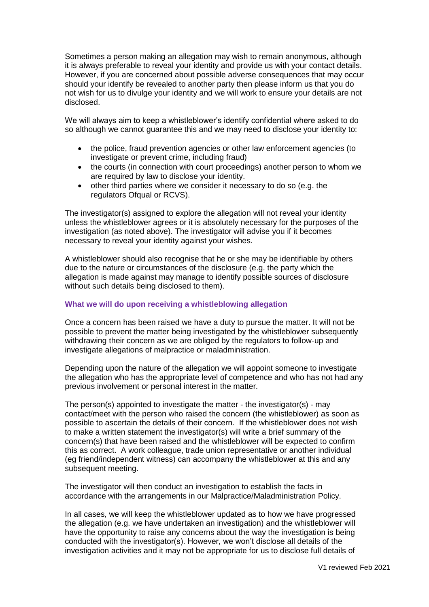Sometimes a person making an allegation may wish to remain anonymous, although it is always preferable to reveal your identity and provide us with your contact details. However, if you are concerned about possible adverse consequences that may occur should your identify be revealed to another party then please inform us that you do not wish for us to divulge your identity and we will work to ensure your details are not disclosed.

We will always aim to keep a whistleblower's identify confidential where asked to do so although we cannot guarantee this and we may need to disclose your identity to:

- the police, fraud prevention agencies or other law enforcement agencies (to investigate or prevent crime, including fraud)
- the courts (in connection with court proceedings) another person to whom we are required by law to disclose your identity.
- other third parties where we consider it necessary to do so (e.g. the regulators Ofqual or RCVS).

The investigator(s) assigned to explore the allegation will not reveal your identity unless the whistleblower agrees or it is absolutely necessary for the purposes of the investigation (as noted above). The investigator will advise you if it becomes necessary to reveal your identity against your wishes.

A whistleblower should also recognise that he or she may be identifiable by others due to the nature or circumstances of the disclosure (e.g. the party which the allegation is made against may manage to identify possible sources of disclosure without such details being disclosed to them).

# **What we will do upon receiving a whistleblowing allegation**

Once a concern has been raised we have a duty to pursue the matter. It will not be possible to prevent the matter being investigated by the whistleblower subsequently withdrawing their concern as we are obliged by the regulators to follow-up and investigate allegations of malpractice or maladministration.

Depending upon the nature of the allegation we will appoint someone to investigate the allegation who has the appropriate level of competence and who has not had any previous involvement or personal interest in the matter.

The person(s) appointed to investigate the matter - the investigator(s) - may contact/meet with the person who raised the concern (the whistleblower) as soon as possible to ascertain the details of their concern. If the whistleblower does not wish to make a written statement the investigator(s) will write a brief summary of the concern(s) that have been raised and the whistleblower will be expected to confirm this as correct. A work colleague, trade union representative or another individual (eg friend/independent witness) can accompany the whistleblower at this and any subsequent meeting.

The investigator will then conduct an investigation to establish the facts in accordance with the arrangements in our Malpractice/Maladministration Policy.

In all cases, we will keep the whistleblower updated as to how we have progressed the allegation (e.g. we have undertaken an investigation) and the whistleblower will have the opportunity to raise any concerns about the way the investigation is being conducted with the investigator(s). However, we won't disclose all details of the investigation activities and it may not be appropriate for us to disclose full details of